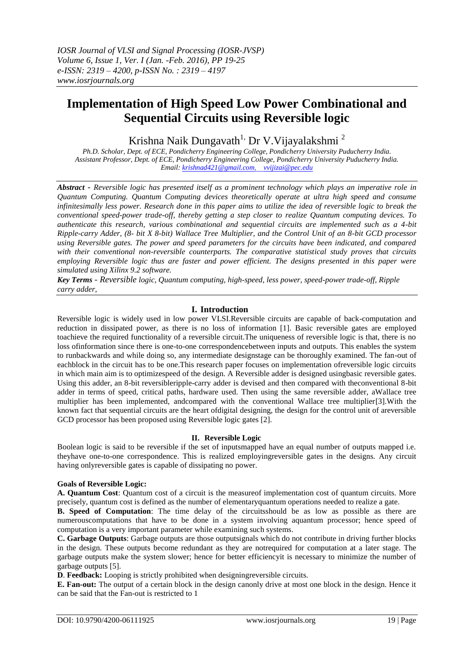# **Implementation of High Speed Low Power Combinational and Sequential Circuits using Reversible logic**

Krishna Naik Dungavath<sup>1,</sup> Dr V. Vijayalakshmi <sup>2</sup>

*Ph.D. Scholar, Dept. of ECE, Pondicherry Engineering College, Pondicherry University Puducherry India. Assistant Professor, Dept. of ECE, Pondicherry Engineering College, Pondicherry University Puducherry India. Email: [krishnad421@gmail.com,](mailto:krishnad421@gmail.com) vvijizai@pec.edu*

*Abstract - Reversible logic has presented itself as a prominent technology which plays an imperative role in Quantum Computing. Quantum Computing devices theoretically operate at ultra high speed and consume infinitesimally less power. Research done in this paper aims to utilize the idea of reversible logic to break the conventional speed-power trade-off, thereby getting a step closer to realize Quantum computing devices. To authenticate this research, various combinational and sequential circuits are implemented such as a 4-bit Ripple-carry Adder, (8- bit X 8-bit) Wallace Tree Multiplier, and the Control Unit of an 8-bit GCD processor using Reversible gates. The power and speed parameters for the circuits have been indicated, and compared with their conventional non-reversible counterparts. The comparative statistical study proves that circuits employing Reversible logic thus are faster and power efficient. The designs presented in this paper were simulated using Xilinx 9.2 software.*

*Key Terms - Reversible logic, Quantum computing, high-speed, less power, speed-power trade-off, Ripple carry adder,*

# **I. Introduction**

Reversible logic is widely used in low power VLSI.Reversible circuits are capable of back-computation and reduction in dissipated power, as there is no loss of information [1]. Basic reversible gates are employed toachieve the required functionality of a reversible circuit.The uniqueness of reversible logic is that, there is no loss ofinformation since there is one-to-one correspondencebetween inputs and outputs. This enables the system to runbackwards and while doing so, any intermediate designstage can be thoroughly examined. The fan-out of eachblock in the circuit has to be one.This research paper focuses on implementation ofreversible logic circuits in which main aim is to optimizespeed of the design. A Reversible adder is designed usingbasic reversible gates. Using this adder, an 8-bit reversibleripple-carry adder is devised and then compared with theconventional 8-bit adder in terms of speed, critical paths, hardware used. Then using the same reversible adder, aWallace tree multiplier has been implemented, andcompared with the conventional Wallace tree multiplier[3].With the known fact that sequential circuits are the heart ofdigital designing, the design for the control unit of areversible GCD processor has been proposed using Reversible logic gates [2].

# **II. Reversible Logic**

Boolean logic is said to be reversible if the set of inputsmapped have an equal number of outputs mapped i.e. theyhave one-to-one correspondence. This is realized employingreversible gates in the designs. Any circuit having onlyreversible gates is capable of dissipating no power.

# **Goals of Reversible Logic:**

**A. Quantum Cost**: Quantum cost of a circuit is the measureof implementation cost of quantum circuits. More precisely, quantum cost is defined as the number of elementaryquantum operations needed to realize a gate.

**B. Speed of Computation**: The time delay of the circuitsshould be as low as possible as there are numerouscomputations that have to be done in a system involving aquantum processor; hence speed of computation is a very important parameter while examining such systems.

**C. Garbage Outputs**: Garbage outputs are those outputsignals which do not contribute in driving further blocks in the design. These outputs become redundant as they are notrequired for computation at a later stage. The garbage outputs make the system slower; hence for better efficiencyit is necessary to minimize the number of garbage outputs [5].

**D**. **Feedback:** Looping is strictly prohibited when designingreversible circuits.

**E. Fan-out:** The output of a certain block in the design canonly drive at most one block in the design. Hence it can be said that the Fan-out is restricted to 1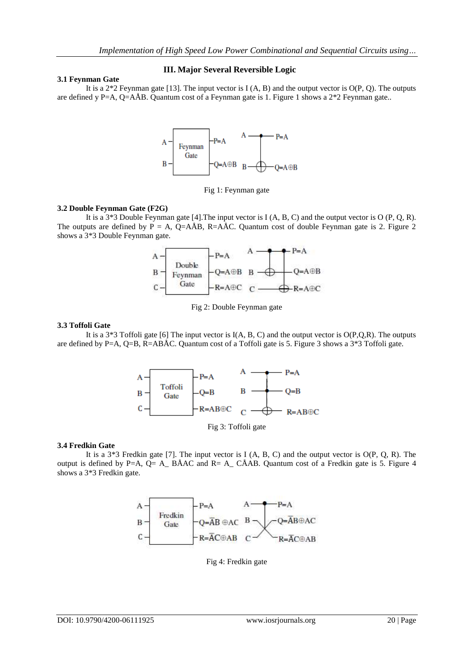## **3.1 Feynman Gate**

## **III. Major Several Reversible Logic**

It is a  $2*2$  Feynman gate [13]. The input vector is  $I(A, B)$  and the output vector is  $O(P, Q)$ . The outputs are defined y P=A, Q=AÅB. Quantum cost of a Feynman gate is 1. Figure 1 shows a  $2 \times 2$  Feynman gate..



Fig 1: Feynman gate

## **3.2 Double Feynman Gate (F2G)**

It is a 3\*3 Double Feynman gate [4].The input vector is I (A, B, C) and the output vector is O (P, Q, R). The outputs are defined by  $\overrightarrow{P} = A$ ,  $\overrightarrow{Q} = A\overrightarrow{AB}$ , R=A $\overrightarrow{AC}$ . Quantum cost of double Feynman gate is 2. Figure 2. shows a 3\*3 Double Feynman gate.



Fig 2: Double Feynman gate

## **3.3 Toffoli Gate**

It is a  $3*3$  Toffoli gate [6] The input vector is  $I(A, B, C)$  and the output vector is  $O(P,Q,R)$ . The outputs are defined by P=A, Q=B, R=ABÅC. Quantum cost of a Toffoli gate is 5. Figure 3 shows a 3\*3 Toffoli gate.



Fig 3: Toffoli gate

## **3.4 Fredkin Gate**

It is a  $3*3$  Fredkin gate [7]. The input vector is I (A, B, C) and the output vector is  $O(P, Q, R)$ . The output is defined by P=A, Q= A\_ BÅAC and R= A\_ CÅAB. Quantum cost of a Fredkin gate is 5. Figure 4 shows a 3\*3 Fredkin gate.



Fig 4: Fredkin gate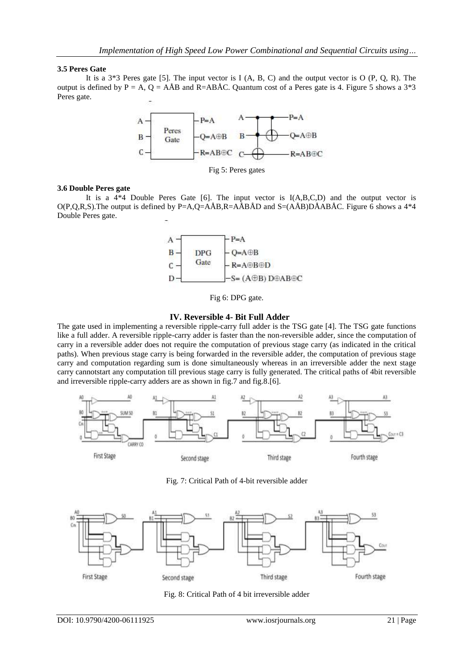## **3.5 Peres Gate**

It is a 3\*3 Peres gate [5]. The input vector is I (A, B, C) and the output vector is O (P, Q, R). The output is defined by P = A, Q =  $A\hat{A}B$  and R= $AB\hat{A}C$ . Quantum cost of a Peres gate is 4. Figure 5 shows a 3<sup>\*3</sup> Peres gate.



Fig 5: Peres gates

### **3.6 Double Peres gate**

It is a  $4*4$  Double Peres Gate [6]. The input vector is I(A,B,C,D) and the output vector is  $O(P,Q,R,S)$ . The output is defined by P=A,Q=AÅB,R=AÅBÅD and S=(AÅB)DÅABÅC. Figure 6 shows a 4<sup>\*4</sup> Double Peres gate.



Fig 6: DPG gate.

### **IV. Reversible 4- Bit Full Adder**

The gate used in implementing a reversible ripple-carry full adder is the TSG gate [4]. The TSG gate functions like a full adder. A reversible ripple-carry adder is faster than the non-reversible adder, since the computation of carry in a reversible adder does not require the computation of previous stage carry (as indicated in the critical paths). When previous stage carry is being forwarded in the reversible adder, the computation of previous stage carry and computation regarding sum is done simultaneously whereas in an irreversible adder the next stage carry cannotstart any computation till previous stage carry is fully generated. The critical paths of 4bit reversible and irreversible ripple-carry adders are as shown in fig.7 and fig.8.[6].



Fig. 7: Critical Path of 4-bit reversible adder



Fig. 8: Critical Path of 4 bit irreversible adder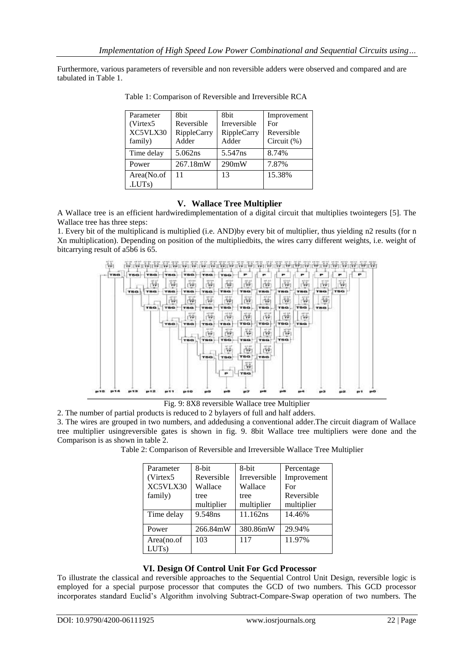Furthermore, various parameters of reversible and non reversible adders were observed and compared and are tabulated in Table 1.

| Parameter           | 8bit        | 8 <sub>bit</sub>    | Improvement    |
|---------------------|-------------|---------------------|----------------|
| (Virtex 5           | Reversible  | <b>Irreversible</b> | For            |
| XC5VLX30            | RippleCarry | RippleCarry         | Reversible     |
| family)             | Adder       | Adder               | Circuit $(\%)$ |
| Time delay          | 5.062ns     | 5.547ns             | 8.74%          |
| Power               | 267.18mW    | 290mW               | 7.87%          |
| Area(No.of          | 11          | 13                  | 15.38%         |
| .LUT <sub>s</sub> ) |             |                     |                |

Table 1: Comparison of Reversible and Irreversible RCA

# **V. Wallace Tree Multiplier**

A Wallace tree is an efficient hardwiredimplementation of a digital circuit that multiplies twointegers [5]. The Wallace tree has three steps:

1. Every bit of the multiplicand is multiplied (i.e. AND)by every bit of multiplier, thus yielding n2 results (for n Xn multiplication). Depending on position of the multipliedbits, the wires carry different weights, i.e. weight of bitcarrying result of a5b6 is 65.



Fig. 9: 8X8 reversible Wallace tree Multiplier

2. The number of partial products is reduced to 2 bylayers of full and half adders.

3. The wires are grouped in two numbers, and addedusing a conventional adder.The circuit diagram of Wallace tree multiplier usingreversible gates is shown in fig. 9. 8bit Wallace tree multipliers were done and the Comparison is as shown in table 2.

Table 2: Comparison of Reversible and Irreversible Wallace Tree Multiplier

| Parameter          | 8-bit      | 8-bit        | Percentage  |
|--------------------|------------|--------------|-------------|
| (Virtex 5          | Reversible | Irreversible | Improvement |
| XC5VLX30           | Wallace    | Wallace      | For         |
| family)            | tree       | tree         | Reversible  |
|                    | multiplier | multiplier   | multiplier  |
| Time delay         | 9.548ns    | 11.162ns     | 14.46%      |
| Power              | 266.84mW   | 380.86mW     | 29.94%      |
| Area(no.of<br>LUTs | 103        | 117          | 11.97%      |

# **VI. Design Of Control Unit For Gcd Processor**

To illustrate the classical and reversible approaches to the Sequential Control Unit Design, reversible logic is employed for a special purpose processor that computes the GCD of two numbers. This GCD processor incorporates standard Euclid's Algorithm involving Subtract-Compare-Swap operation of two numbers. The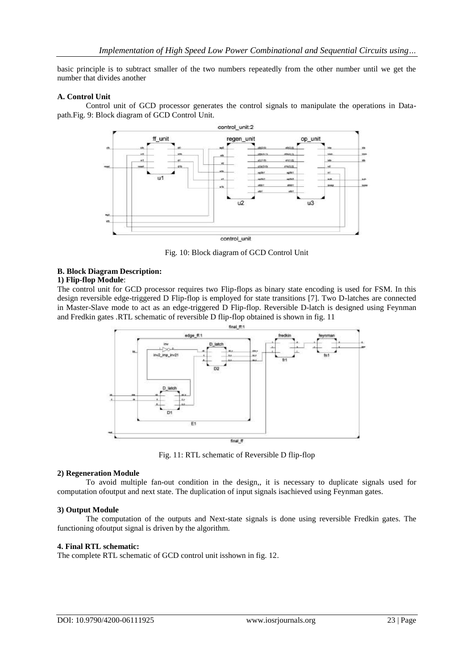basic principle is to subtract smaller of the two numbers repeatedly from the other number until we get the number that divides another

### **A. Control Unit**

Control unit of GCD processor generates the control signals to manipulate the operations in Datapath.Fig. 9: Block diagram of GCD Control Unit.



Fig. 10: Block diagram of GCD Control Unit

### **B. Block Diagram Description:**

## **1) Flip-flop Module**:

The control unit for GCD processor requires two Flip-flops as binary state encoding is used for FSM. In this design reversible edge-triggered D Flip-flop is employed for state transitions [7]. Two D-latches are connected in Master-Slave mode to act as an edge-triggered D Flip-flop. Reversible D-latch is designed using Feynman and Fredkin gates .RTL schematic of reversible D flip-flop obtained is shown in fig. 11



Fig. 11: RTL schematic of Reversible D flip-flop

#### **2) Regeneration Module**

To avoid multiple fan-out condition in the design,, it is necessary to duplicate signals used for computation ofoutput and next state. The duplication of input signals isachieved using Feynman gates.

#### **3) Output Module**

The computation of the outputs and Next-state signals is done using reversible Fredkin gates. The functioning ofoutput signal is driven by the algorithm.

#### **4. Final RTL schematic:**

The complete RTL schematic of GCD control unit isshown in fig. 12.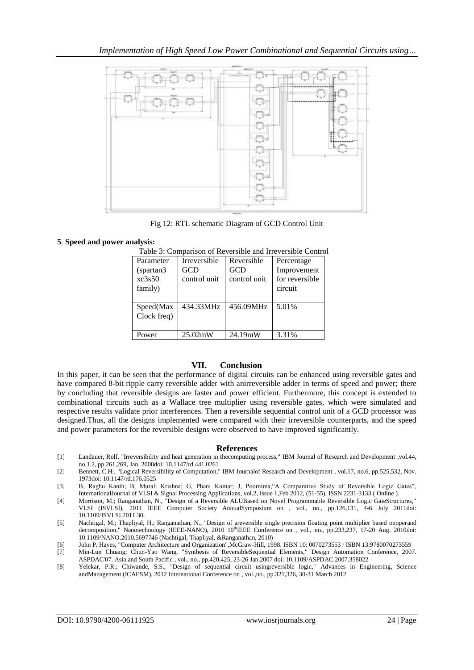

Fig 12: RTL schematic Diagram of GCD Control Unit

## **5***.* **Speed and power analysis:**

| Parameter   | <b>Irreversible</b> | Reversible   | Percentage     |
|-------------|---------------------|--------------|----------------|
| (spartan3)  | GCD                 | GCD          | Improvement    |
| xc3s50      | control unit        | control unit | for reversible |
| family)     |                     |              | circuit        |
|             |                     |              |                |
| Speed(Max   | 434.33MHz           | 456.09MHz    | 5.01%          |
| Clock freq) |                     |              |                |
|             |                     |              |                |
| Power       | 25.02mW             | 24.19mW      | 3.31%          |

Table 3: Comparison of Reversible and Irreversible Control

# **VII. Conclusion**

In this paper, it can be seen that the performance of digital circuits can be enhanced using reversible gates and have compared 8-bit ripple carry reversible adder with anirreversible adder in terms of speed and power; there by concluding that reversible designs are faster and power efficient. Furthermore, this concept is extended to combinational circuits such as a Wallace tree multiplier using reversible gates, which were simulated and respective results validate prior interferences. Then a reversible sequential control unit of a GCD processor was designed.Thus, all the designs implemented were compared with their irreversible counterparts, and the speed and power parameters for the reversible designs were observed to have improved significantly.

## **References**

- [1] Landauer, Rolf, "Irreversibility and heat generation in thecomputing process," IBM Journal of Research and Development ,vol.44, no.1.2, pp.261,269, Jan. 2000doi: 10.1147/rd.441.0261
- [2] Bennett, C.H., "Logical Reversibility of Computation," IBM Journalof Research and Development , vol.17, no.6, pp.525,532, Nov. 1973doi: 10.1147/rd.176.0525
- [3] B, Raghu Kanth; B, Murali Krishna; G, Phani Kumar; J, Poornima,"A Comparative Study of Reversible Logic Gates", InternationalJournal of VLSI & Signal Processing Applications, vol.2, Issue 1,Feb 2012, (51-55), ISSN 2231-3133 ( Online ).
- [4] Morrison, M.; Ranganathan, N., "Design of a Reversible ALUBased on Novel Programmable Reversible Logic GateStructures," VLSI (ISVLSI), 2011 IEEE Computer Society AnnualSymposium on , vol., no., pp.126,131, 4-6 July 2011doi: 10.1109/ISVLSI.2011.30.
- [5] Nachtigal, M.; Thapliyal, H.; Ranganathan, N., "Design of areversible single precision floating point multiplier based onoperand decomposition," Nanotechnology (IEEE-NANO), 2010 10<sup>th</sup>IEEE Conference on , vol., no., pp.233,237, 17-20 Aug. 2010doi: 10.1109/NANO.2010.5697746 (Nachtigal, Thapliyal, &Ranganathan, 2010)
- [6] John P. Hayes, "Computer Architecture and Organization",McGraw-Hill, 1998. ISBN 10: 0070273553 / ISBN 13:9780070273559
- [7] Min-Lun Chuang; Chun-Yao Wang, "Synthesis of ReversibleSequential Elements," Design Automation Conference, 2007. ASPDAC'07. Asia and South Pacific , vol., no., pp.420,425, 23-26 Jan.2007 doi: 10.1109/ASPDAC.2007.358022
- [8] Yelekar, P.R.; Chiwande, S.S., "Design of sequential circuit usingreversible logic," Advances in Engineering, Science andManagement (ICAESM), 2012 International Conference on , vol.,no., pp.321,326, 30-31 March 2012